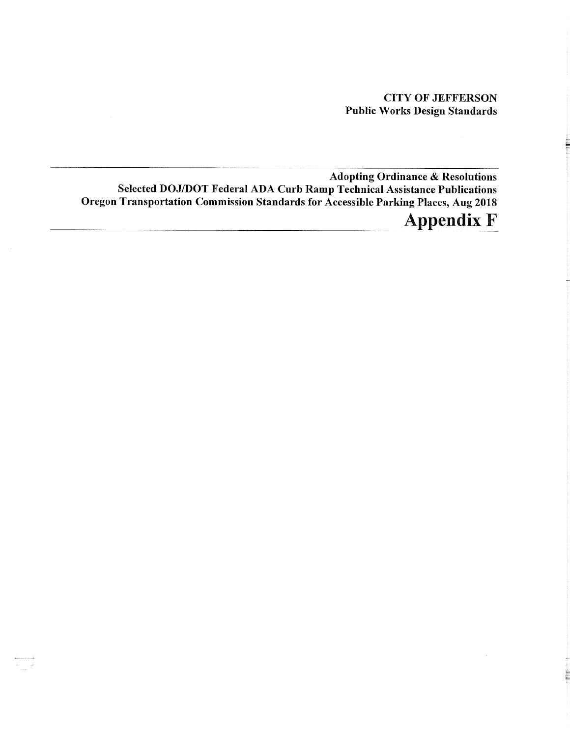## CITY OF JEFFERSON Public Works Design Standards

Adopting Ordinance & Resolutions Selected DOJ/DOT Federal ADA Curb Ramp Technical Assistance Publications Oregon Transportation Commission Standards for Accessible Parking Places, Aug <sup>2018</sup> Appendix F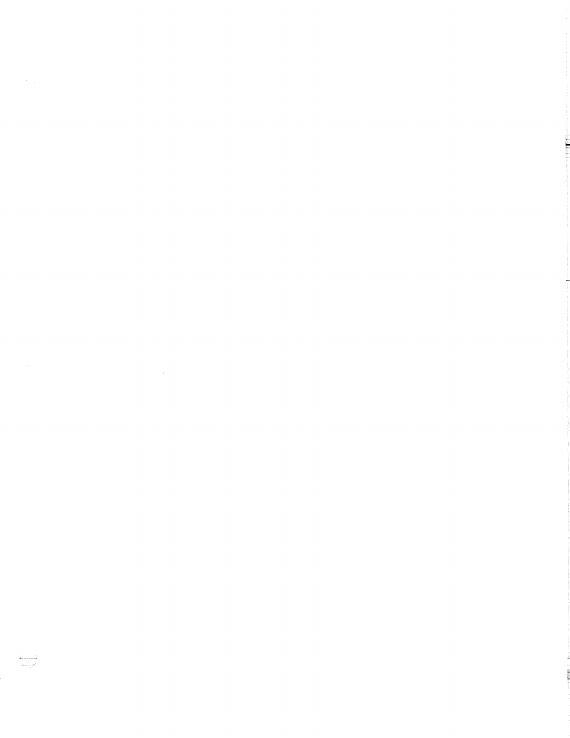得爾摩

j.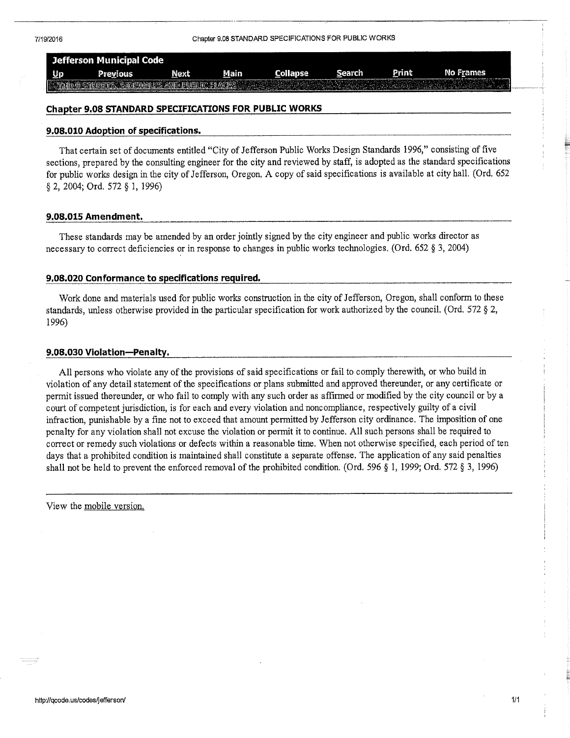|                  | Jefferson Municipal Code |      |      |          |          |       |                                                     |  |
|------------------|--------------------------|------|------|----------|----------|-------|-----------------------------------------------------|--|
| $U_{\mathbf{p}}$ | <b>Previous</b>          | Next | Main | Collanse | . Search | Print | . No Frames '                                       |  |
|                  |                          |      |      |          |          |       | <b>Comme Street Street And Street Communication</b> |  |

## **Chapter 9.08 STANDARD SPECIFICATIONS FOR PUBLIC WORKS**

#### **9.08.010 Adoption of specifications.**

That certain set of documents entitled "City of Jefferson Public Works Design Standards 1996," consisting of five sections, prepared by the consulting engineer for the city and reviewed by staff, is adopted as the standard specifications for public works design in the city of Jefferson, Oregon. A copy of said specifications is available at city hall. (Ord. 652 § 2, 2004; Ord. 572 § 1, 1996)

#### **9.08.015 Amendment.**

These standards may be amended by an order jointly signed by the city engineer and public works director as necessary to correct deficiencies or in response to changes in public works technologies. (Ord. 652 § 3, 2004)

#### **9.08.020 Conformance to specifications required.**

Work done and materials used for public works construction in the city of Jefferson, Oregon, shall conform to these standards, unless otherwise provided in the particular specification for work authorized by the council. (Ord. 572 § 2, 1996)

#### **9.08.030 Violation-Penalty.**

All persons who violate any of the provisions of said specifications or fail to comply therewith, or who build in violation of any detail statement of the specifications or plans submitted and approved thereunder, or any certificate or permit issued thereunder, or who fail to comply with any such order as affirmed or modified by the city council or by <sup>a</sup> court of competent jurisdiction, is for each and every violation and noncompliance, respectively guilty of a civil infraction, punishable by a fine not to exceed that amount permitted by Jefferson city ordinance. The imposition of one penalty for any violation shall not excuse the violation or permit it to continue. All such persons shall be required to correct or remedy such violations or defects within a reasonable time. When not otherwise specified, each period of ten days that a prohibited condition is maintained shall constitute a separate offense. The application of any said penalties shall not be held to prevent the enforced removal of the prohibited condition. (Ord. 596 § 1, 1999; Ord. 572 § 3, 1996)

View the mobile version.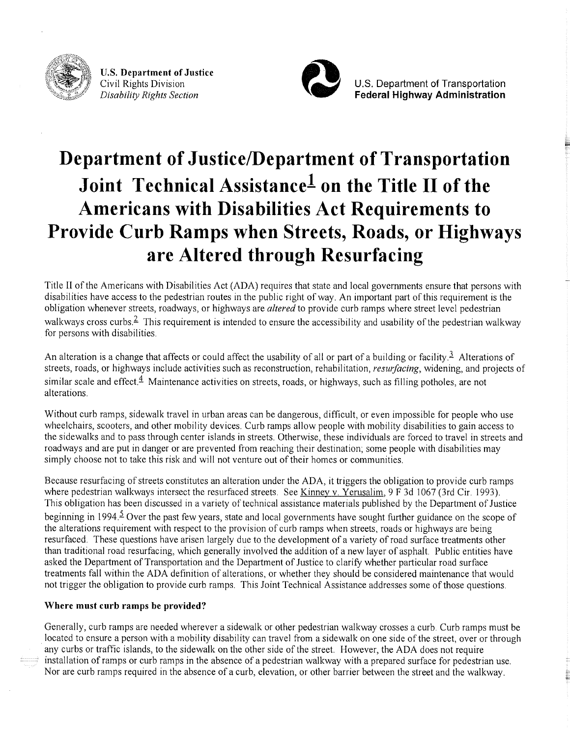

U.S. Department of Justice Civil Rights Division *Disability Rights Section* 



U.S. Department of Transportation **Federal Highway Administration** 

# **Department of Justice/Department of Transportation Joint Technical Assistance! on the Title II of the Americans with Disabilities Act Requirements to Provide Curb Ramps when Streets, Roads, or Highways are Altered through Resurfacing**

Title II of the Americans with Disabilities Act (ADA) requires that state and local governments ensure that persons with disabilities have access to the pedestrian routes in the public right of way. An important part of this requirement is the obligation whenever streets, roadways, or highways are *altered* to provide curb ramps where street level pedestrian walkways cross curbs.<sup>2</sup> This requirement is intended to ensure the accessibility and usability of the pedestrian walkway for persons with disabilities.

An alteration is a change that affects or could affect the usability of all or part of a building or facility.<sup>2</sup> Alterations of streets, roads, or highways include activities such as reconstruction, rehabilitation, *resurfacing,* widening, and projects of similar scale and effect. $\frac{4}{3}$  Maintenance activities on streets, roads, or highways, such as filling potholes, are not alterations.

Without curb ramps, sidewalk travel in urban areas can be dangerous, difficult, or even impossible for people who use wheelchairs, scooters, and other mobility devices. Curb ramps allow people with mobility disabilities to gain access to the sidewalks and to pass through center islands in streets. Otherwise, these individuals are forced to travel in streets and roadways and are put in danger or are prevented from reaching their destination; some people with disabilities may simply choose not to take this risk and will not venture out of their homes or communities.

Because resurfacing of streets constitutes an alteration under the ADA, it triggers the obligation to provide curb ramps where pedestrian walkways intersect the resurfaced streets. See Kinney v. Yerusalim, 9 F 3d 1067 (3rd Cir. 1993). This obligation has been discussed in a variety of technical assistance materials published by the Department of Justice beginning in 1994.<sup>5</sup> Over the past few years, state and local governments have sought further guidance on the scope of the alterations requirement with respect to the provision of curb ramps when streets, roads or highways are being resurfaced. These questions have arisen largely due to the development of a variety of road surface treatments other than traditional road resurfacing, which generally involved the addition of a new layer of asphalt. Public entities have asked the Department of Transportation and the Department of Justice to clarify whether particular road surface treatments fall within the ADA definition of alterations, or whether they should be considered maintenance that would not trigger the obligation to provide curb ramps. This Joint Technical Assistance addresses some of those questions.

#### Where must curb ramps be provided?

Generally, curb ramps are needed wherever a sidewalk or other pedestrian walkway crosses a curb. Curb ramps must be located to ensure a person with a mobility disability can travel from a sidewalk on one side of the street, over or through any curbs or traffic islands, to the sidewalk on the other side of the street. However, the ADA does not require installation of ramps or curb ramps in the absence of a pedestrian walkway with a prepared surface for pedestrian use. Nor are curb ramps required in the absence of a curb, elevation, or other barrier between the street and the walkway.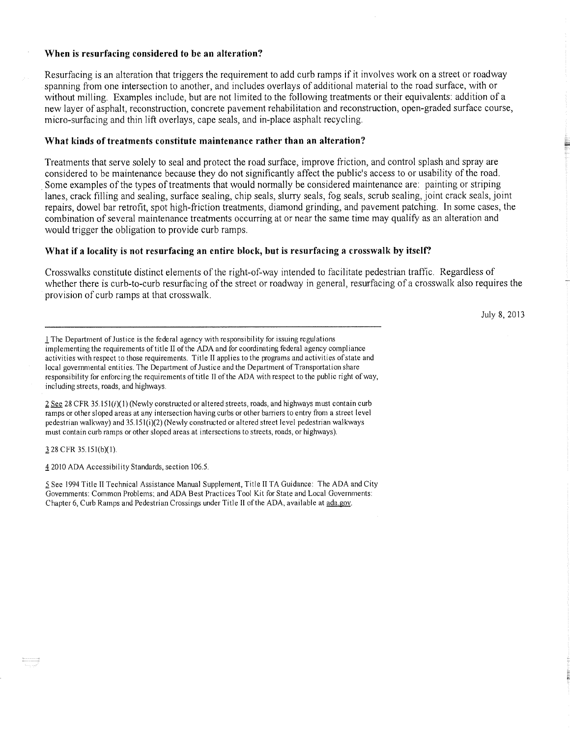#### **When is resurfacing considered to be an alteration?**

Resurfacing is an alteration that triggers the requirement to add curb ramps if it involves work on a street or roadway spanning from one intersection to another, and includes overlays of additional material to the road surface, with or without milling. Examples include, but are not limited to the following treatments or their equivalents: addition of a new layer of asphalt, reconstruction, concrete pavement rehabilitation and reconstruction, open-graded surface course, micro-surfacing and thin lift overlays, cape seals, and in-place asphalt recycling.

#### **What kinds of treatments constitute maintenance rather than an alteration?**

Treatments that serve solely to seal and protect the road surface, improve friction, and control splash and spray are considered to be maintenance because they do not significantly affect the public's access to or usability of the road . . Some examples of the types of treatments that would normally be considered maintenance are: painting or striping lanes, crack filling and sealing, surface sealing, chip seals, slurry seals, fog seals, scrub sealing, joint crack seals, joint repairs, dowel bar retrofit, spot high-friction treatments, diamond grinding, and pavement patching. In some cases, the combination of several maintenance treatments occurring at or near the same time may qualify as an alteration and would trigger the obligation to provide curb ramps.

#### **What if a locality is not resurfacing an entire block, but is resurfacing a crosswalk by itself?**

Crosswalks constitute distinct elements of the right-of-way intended to facilitate pedestrian traffic. Regardless of whether there is curb-to-curb resurfacing of the street or roadway in general, resurfacing of a crosswalk also requires the provision of curb ramps at that crosswalk.

July 8, 2013

l The Department of Justice is the federal agency with responsibility for issuing regulations implementing the requirements of title II of the ADA and for coordinating federal agency compliance activities with respect to those requirements. Title II applies to the programs and activities of state and local governmental entities. The Department of Justice and the Department of Transportation share responsibility for enforcing the requirements of title II of the ADA with respect to the public right of way, including streets, roads, and highways.

2 See 28 CFR 35.151(i)(1) (Newly constructed or altered streets, roads, and highways must contain curb ramps or other sloped areas at any intersection having curbs or other barriers to entry from a street level pedestrian walkway) and 35.151(i)(2) (Newly constructed or altered street level pedestrian walkways must contain curb ramps or other sloped areas at intersections to streets, roads, or highways).

,128 CFR 35.151(b)(l)

:! 2010 ADA Accessibility Standards, section 106.5.

~See 1994 Title II Technical Assistance Manual Supplement, Title II TA Guidance: The ADA and City Governments: Common Problems: and ADA Best Practices Tool Kit for State and Local Governments: Chapter 6, Curb Ramps and Pedestrian Crossings under Title II of the ADA, available at ada.gov.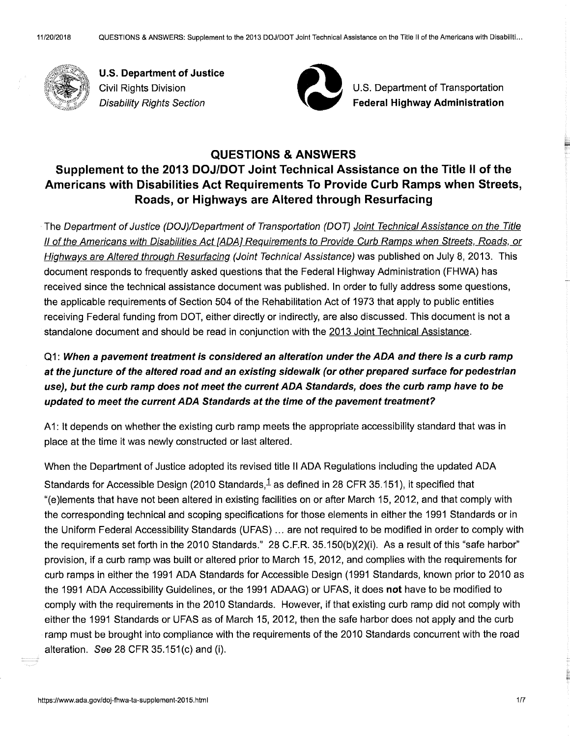

**U.S. Department of Justice**  Civil Rights Division Disability Rights Section



U.S. Department of Transportation ~.,. **Federal Highway Administration** 

# **QUESTIONS & ANSWERS**

# **Supplement to the 2013 DOJ/DOT Joint Technical Assistance on the Title II of the Americans with Disabilities Act Requirements To Provide Curb Ramps when Streets, Roads, or Highways are Altered through Resurfacing**

The Department of Justice (DOJ)/Department of Transportation (DOT} Joint Technical Assistance on the Title II of the Americans with Disabilities Act [ADA] Requirements to Provide Curb Ramps when Streets, Roads, or Highways are Altered through Resurfacing (Joint Technical Assistance) was published on July 8, 2013. This document responds to frequently asked questions that the Federal Highway Administration (FHWA) has received since the technical assistance document was published. In order to fully address some questions, the applicable requirements of Section 504 of the Rehabilitation Act of 1973 that apply to public entities receiving Federal funding from DOT, either directly or indirectly, are also discussed. This document is not a standalone document and should be read in conjunction with the 2013 Joint Technical Assistance.

# Q1: **When a pavement treatment is considered an alteration under the ADA and there is a curb ramp at the juncture of the altered road and an existing sidewalk (or other prepared surface for pedestrian use}, but the curb ramp does not meet the current ADA Standards, does the curb ramp have to be updated to meet the current ADA Standards at the time of the pavement treatment?**

A1: It depends on whether the existing curb ramp meets the appropriate accessibility standard that was in place at the time it was newly constructed or last altered.

When the Department of Justice adopted its revised title II ADA Regulations including the updated ADA Standards for Accessible Design (2010 Standards,  $\frac{1}{2}$  as defined in 28 CFR 35.151), it specified that "(e)lements that have not been altered in existing facilities on or after March 15, 2012, and that comply with the corresponding technical and scoping specifications for those elements in either the 1991 Standards or in the Uniform Federal Accessibility Standards (UFAS) ... are not required to be modified in order to comply with the requirements set forth in the 2010 Standards." 28 C.F.R. 35.150(b)(2)(i). As a result of this "safe harbor" provision, if a curb ramp was built or altered prior to March 15, 2012, and complies with the requirements for curb ramps in either the 1991 ADA Standards for Accessible Design (1991 Standards, known prior to 2010 as the 1991 ADA Accessibility Guidelines, or the 1991 ADAAG) or UFAS, it does **not** have to be modified to comply with the requirements in the 2010 Standards. However, if that existing curb ramp did not comply with either the 1991 Standards or UFAS as of March 15, 2012, then the safe harbor does not apply and the curb ramp must be brought into compliance with the requirements of the 2010 Standards concurrent with the road alteration. See 28 CFR  $35.151(c)$  and (i).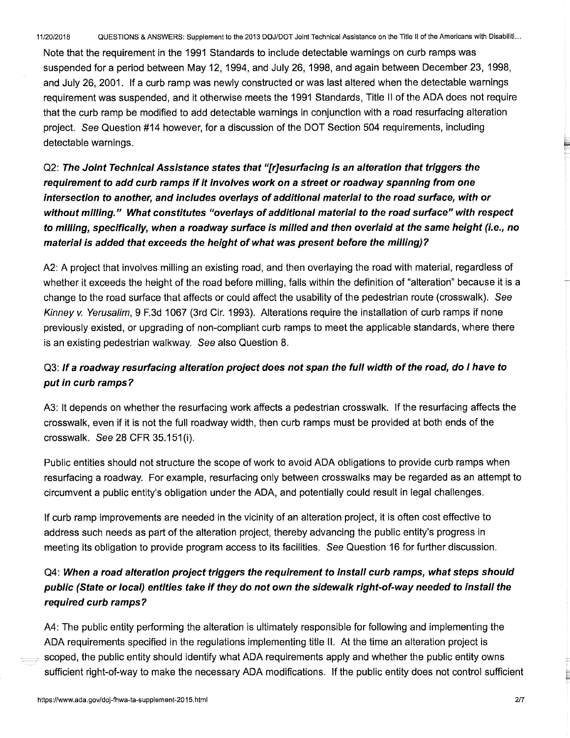11/20/2018 QUESTIONS & ANSWERS: Supplement to the 2013 DOJ/DOT Joint Technical Assistance on the Title II of the Americans with Disabiliti ...

Note that the requirement in the 1991 Standards to include detectable warnings on curb ramps was suspended for a period between May 12, 1994, and July 26, 1998, and again between December 23, 1998, and July 26, 2001. If a curb ramp was newly constructed or was last altered when the detectable warnings requirement was suspended, and it otherwise meets the 1991 Standards, Title II of the ADA does not require that the curb ramp be modified to add detectable warnings in conjunction with a road resurfacing alteration project. See Question #14 however, for a discussion of the DOT Section 504 requirements, including detectable warnings.

Q2: **The Joint Technical Assistance states that "[r]esurfacing is an alteration that triggers the requirement to add curb ramps if it involves work on a street or roadway spanning from one intersection to another, and includes overlays of additional material to the road surface, with or without milling." What constitutes "overlays of additional material to the road surface" with respect to milling, specifically, when a roadway surface is milled and then overlaid at the same height (i.e., no material is added that exceeds the height of what was present before the milling)?** 

A2: A project that involves milling an existing road, and then overlaying the road with material, regardless of whether it exceeds the height of the road before milling, falls within the definition of "alteration" because it is a change to the road surface that affects or could affect the usability of the pedestrian route (crosswalk). See Kinney *v.* Yerusalim, 9 F.3d 1067 (3rd Cir. 1993). Alterations require the installation of curb ramps if none previously existed, or upgrading of non-compliant curb ramps to meet the applicable standards, where there is an existing pedestrian walkway. See also Question 8.

# Q3: If **a roadway resurfacing alteration project does not span the full width of the road, do I have to put in curb ramps?**

A3: It depends on whether the resurfacing work affects a pedestrian crosswalk. If the resurfacing affects the crosswalk, even if it is not the full roadway width, then curb ramps must be provided at both ends of the crosswalk. See 28 CFR 35.151 (i).

Public entities should not structure the scope of work to avoid ADA obligations to provide curb ramps when resurfacing a roadway. For example, resurfacing only between crosswalks may be regarded as an attempt to circumvent a public entity's obligation under the ADA, and potentially could result in legal challenges.

If curb ramp improvements are needed in the vicinity of an alteration project, it is often cost effective to address such needs as part of the alteration project, thereby advancing the public entity's progress in meeting its obligation to provide program access to its facilities. See Question 16 for further discussion.

# Q4: **When a road alteration project triggers the requirement to install curb ramps, what steps should public (State or local) entities take if they do not own the sidewalk right-of-way needed to install the required curb ramps?**

A4: The public entity performing the alteration is ultimately responsible for following and implementing the ADA requirements specified in the regulations implementing title II. At the time an alteration project is scoped, the public entity should identify what ADA requirements apply and whether the public entity owns sufficient right-of-way to make the necessary ADA modifications. If the public entity does not control sufficient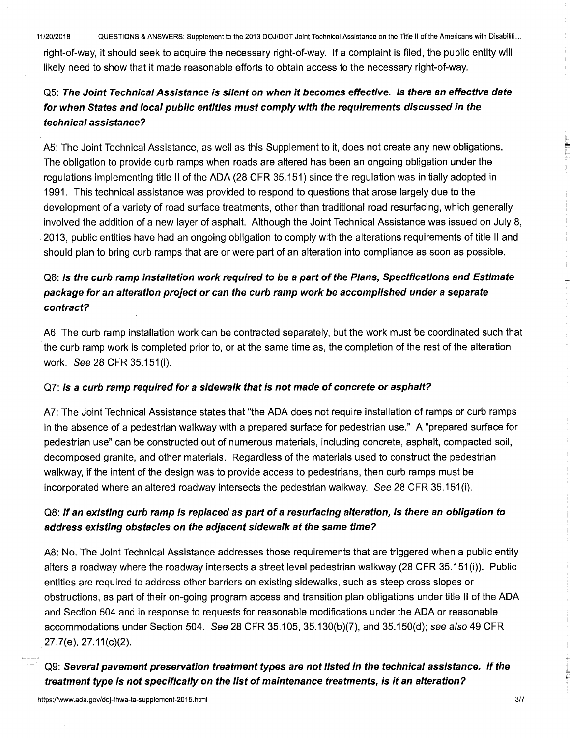11/20/2018 QUESTIONS & ANSWERS: Supplement to the 2013 DOJ/DOT Joint Technical Assistance on the Title II of the Americans with Disabiliti ...

right-of-way, it should seek to acquire the necessary right-of-way. If a complaint is filed, the public entity will likely need to show that it made reasonable efforts to obtain access to the necessary right-of-way.

# Q5: **The Joint Technical Assistance is silent on when it becomes effective. Is there an effective date for when States and local public entities must comply with the requirements discussed in the technical assistance?**

AS: The Joint Technical Assistance, as well as this Supplement to it, does not create any new obligations. The obligation to provide curb ramps when roads are altered has been an ongoing obligation under the regulations implementing title II of the ADA (28 CFR 35.151) since the regulation was initially adopted in 1991. This technical assistance was provided to respond to questions that arose largely due to the development of a variety of road surface treatments, other than traditional road resurfacing, which generally involved the addition of a new layer of asphalt. Although the Joint Technical Assistance was issued on July 8, . 2013, public entities have had an ongoing obligation to comply with the alterations requirements of title II and should plan to bring curb ramps that are or were part of an alteration into compliance as soon as possible.

# Q6: **Is the curb ramp installation work required to be a part of the Plans, Specifications and Estimate package for an alteration project or can the curb ramp work be accomplished under a separate contract?**

A6: The curb ramp installation work can be contracted separately, but the work must be coordinated such that the curb ramp work is completed prior to, or at the same time as, the completion of the rest of the alteration work. See 28 CFR 35.151 (i).

## Q7: Is **a curb ramp required for a sidewalk that is not made of concrete or asphalt?**

A7: The Joint Technical Assistance states that "the ADA does not require installation of ramps or curb ramps in the absence of a pedestrian walkway with a prepared surface for pedestrian use." A "prepared surface for pedestrian use" can be constructed out of numerous materials, including concrete, asphalt, compacted soil, decomposed granite, and other materials. Regardless of the materials used to construct the pedestrian walkway, if the intent of the design was to provide access to pedestrians, then curb ramps must be incorporated where an altered roadway intersects the pedestrian walkway. See 28 CFR 35.151 (i).

## Q8: If **an existing curb ramp is replaced as part of a resurfacing alteration, is there an obligation to address existing obstacles on the adjacent sidewalk at the same time?**

AB: No. The Joint Technical Assistance addresses those requirements that are triggered when a public entity alters a roadway where the roadway intersects a street level pedestrian walkway (28 CFR 35.151(i)). Public entities are required to address other barriers on existing sidewalks, such as steep cross slopes or obstructions, as part of their on-going program access and transition plan obligations under title II of the ADA and Section 504 and in response to requests for reasonable modifications under the ADA or reasonable accommodations under Section 504. See 28 CFR 35.105, 35.130(b)(7), and 35.150(d); see also 49 CFR 27.?(e), 27.11(c)(2).

# Q9: **Several pavement preservation treatment types are not listed in the technical assistance.** *If* **the treatment type is not specifically on the list of maintenance treatments, is it an alteration?**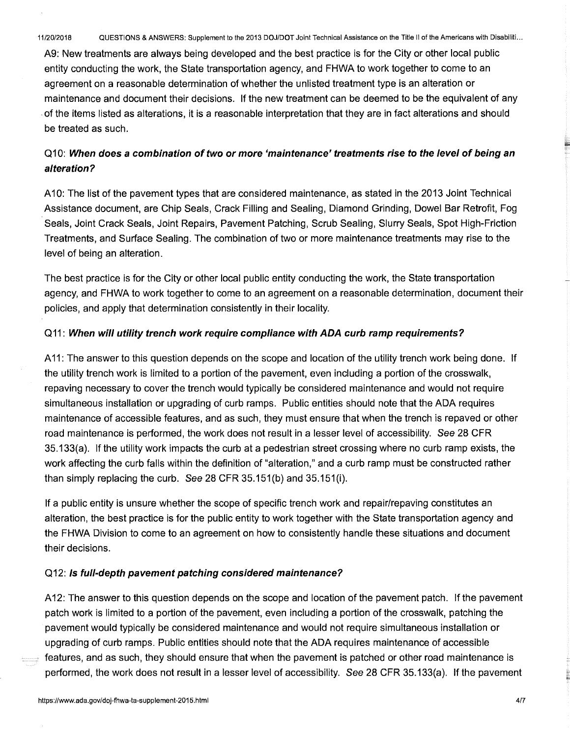A9: New treatments are always being developed and the best practice is for the City or other local public entity conducting the work, the State transportation agency, and FHWA to work together to come to an agreement on a reasonable determination of whether the unlisted treatment type is an alteration or maintenance and document their decisions. If the new treatment can be deemed to be the equivalent of any . of the items listed as alterations, it is a reasonable interpretation that they are in fact alterations and should be treated as such.

## Q1 O: **When does a combination of two or more 'maintenance' treatments rise to the level of being an alteration?**

A 10: The list of the pavement types that are considered maintenance, as stated in the 2013 Joint Technical Assistance document, are Chip Seals, Crack Filling and Sealing, Diamond Grinding, Dowel Bar Retrofit, Fog Seals, Joint Crack Seals, Joint Repairs, Pavement Patching, Scrub Sealing, Slurry Seals, Spot High-Friction Treatments, and Surface Sealing. The combination of two or more maintenance treatments may rise to the level of being an alteration.

The best practice is for the City or other local public entity conducting the work, the State transportation agency, and FHWA to work together to come to an agreement on a reasonable determination, document their policies, and apply that determination consistently in their locality.

## Q11: **When will utility trench work require compliance with ADA curb ramp requirements?**

A 11: The answer to this question depends on the scope and location of the utility trench work being done. If the utility trench work is limited to a portion of the pavement, even including a portion of the crosswalk, repaving necessary to cover the trench would typically be considered maintenance and would not require simultaneous installation or upgrading of curb ramps. Public entities should note that the ADA requires maintenance of accessible features, and as such, they must ensure that when the trench is repaved or other road maintenance is performed, the work does not result in a lesser level of accessibility. See 28 CFR 35.133(a). If the utility work impacts the curb at a pedestrian street crossing where no curb ramp exists, the work affecting the curb falls within the definition of "alteration," and a curb ramp must be constructed rather than simply replacing the curb. See 28 CFR 35.151(b) and 35.151(i).

If a public entity is unsure whether the scope of specific trench work and repair/repaving constitutes an alteration, the best practice is for the public entity to work together with the State transportation agency and the FHWA Division to come to an agreement on how to consistently handle these situations and document their decisions.

## Q12: Is **full-depth pavement patching considered maintenance?**

A 12: The answer to this question depends on the scope and location of the pavement patch. If the pavement patch work is limited to a portion of the pavement, even including a portion of the crosswalk, patching the pavement would typically be considered maintenance and would not require simultaneous installation or upgrading of curb ramps. Public entities should note that the ADA requires maintenance of accessible features, and as such, they should ensure that when the pavement is patched or other road maintenance is performed, the work does not result in a lesser level of accessibility. See 28 CFR 35.133(a). If the pavement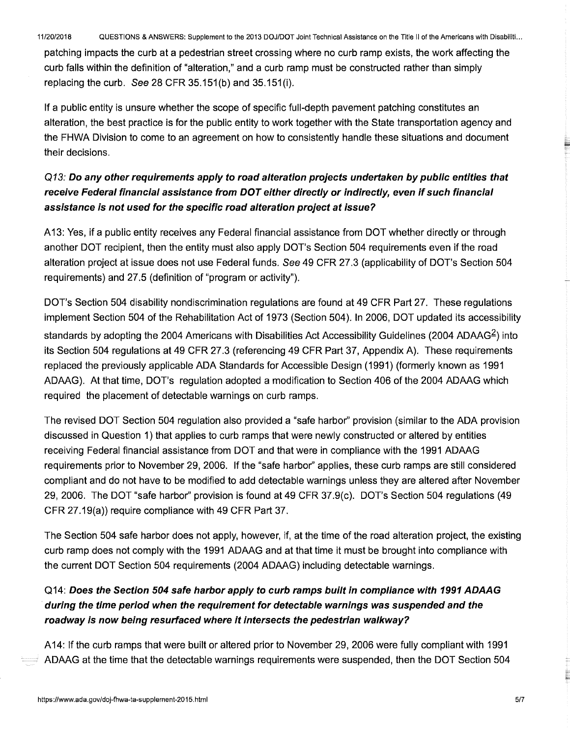11/20/2018 QUESTIONS & ANSWERS: Supplement to the 2013 DOJ/DOT Joint Technical Assistance on the Title II of the Americans with Disabiliti ...

patching impacts the curb at a pedestrian street crossing where no curb ramp exists, the work affecting the curb falls within the definition of "alteration," and a curb ramp must be constructed rather than simply replacing the curb. See 28 CFR 35.151(b) and 35.151(i).

If a public entity is unsure whether the scope of specific full-depth pavement patching constitutes an alteration, the best practice is for the public entity to work together with the State transportation agency and the FHWA Division to come to an agreement on how to consistently handle these situations and document their decisions.

# Q13: **Do any other requirements apply to road alteration projects undertaken by public entities that receive Federal financial assistance from DOT either directly or indirectly, even if such financial assistance is not used for the specific road alteration project at issue?**

A 13: Yes, if a public entity receives any Federal financial assistance from DOT whether directly or through another DOT recipient, then the entity must also apply DOT's Section 504 requirements even if the road alteration project at issue does not use Federal funds. See 49 CFR 27.3 (applicability of DOT's Section 504 requirements) and 27.5 (definition of "program or activity").

DOT's Section 504 disability nondiscrimination regulations are found at 49 CFR Part 27. These regulations implement Section 504 of the Rehabilitation Act of 1973 (Section 504 ). In 2006, DOT updated its accessibility standards by adopting the 2004 Americans with Disabilities Act Accessibility Guidelines (2004 ADAAG<sup>2</sup>) into its Section 504 regulations at 49 CFR 27.3 (referencing 49 CFR Part 37, Appendix A). These requirements replaced the previously applicable ADA Standards for Accessible Design (1991) (formerly known as 1991 ADAAG). At that time, DOT's regulation adopted a modification to Section 406 of the 2004 ADAAG which required the placement of detectable warnings on curb ramps.

The revised DOT Section 504 regulation also provided a "safe harbor" provision (similar to the ADA provision discussed in Question 1) that applies to curb ramps that were newly constructed or altered by entities receiving Federal financial assistance from DOT and that were in compliance with the 1991 ADAAG requirements prior to November 29, 2006. If the "safe harbor'' applies, these curb ramps are still considered compliant and do not have to be modified to add detectable warnings unless they are altered after November 29, 2006. The DOT "safe harbor'' provision is found at 49 CFR 37.9(c). DOT's Section 504 regulations (49 CFR 27.19(a)) require compliance with 49 CFR Part 37.

The Section 504 safe harbor does not apply, however, if, at the time of the road alteration project, the existing curb ramp does not comply with the 1991 ADAAG and at that time it must be brought into compliance with the current DOT Section 504 requirements (2004 ADAAG) including detectable warnings.

# 014: **Does the Section 504 safe harbor apply to curb ramps built in compliance with 1991 ADAAG**  · **during the time period when the requirement for detectable warnings was suspended and the roadway is now being resurfaced where it intersects the pedestrian walkway?**

A 14: If the curb ramps that were built or altered prior to November 29, 2006 were fully compliant with 1991 ADAAG at the time that the detectable warnings requirements were suspended, then the DOT Section 504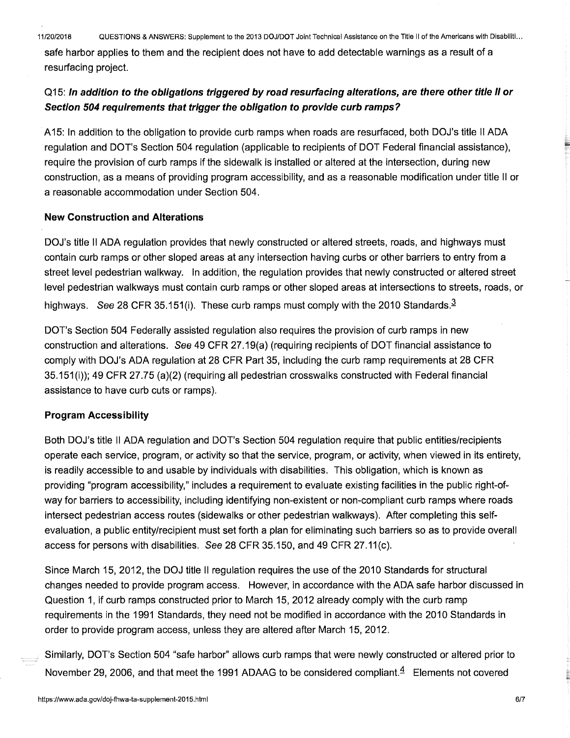safe harbor applies to them and the recipient does not have to add detectable warnings as a result of a resurfacing project.

## Q15: In **addition to the obligations triggered by road resurfacing alterations, are there other title II or Section 504 requirements that trigger the obligation to provide curb ramps?**

A15: In addition to the obligation to provide curb ramps when roads are resurfaced, both DOJ's title II ADA regulation and DOT's Section 504 regulation (applicable to recipients of DOT Federal financial assistance), require the provision of curb ramps if the sidewalk is installed or altered at the intersection, during new construction, as a means of providing program accessibility, and as a reasonable modification under title II or a reasonable accommodation under Section 504.

## **New Construction and Alterations**

DOJ's title II ADA regulation provides that newly constructed or altered streets, roads, and highways must contain curb ramps or other sloped areas at any intersection having curbs or other barriers to entry from a street level pedestrian walkway. In addition, the regulation provides that newly constructed or altered street level pedestrian walkways must contain curb ramps or other sloped areas at intersections to streets, roads, or highways. See 28 CFR 35.151(i). These curb ramps must comply with the 2010 Standards.  $3\overline{3}$ 

DOT's Section 504 Federally assisted regulation also requires the provision of curb ramps in new construction and alterations. See 49 CFR 27.19(a) (requiring recipients of DOT financial assistance to comply with DOJ's ADA regulation at 28 CFR Part 35, including the curb ramp requirements at 28 CFR 35.151(i)); 49 CFR 27.75 (a)(2) (requiring all pedestrian crosswalks constructed with Federal financial assistance to have curb cuts or ramps).

## **Program Accessibility**

Both DOJ's title II ADA regulation and DOT's Section 504 regulation require that public entities/recipients operate each service, program, or activity so that the service, program, or activity, when viewed in its entirety, is readily accessible to and usable by individuals with disabilities. This obligation, which is known as providing "program accessibility," includes a requirement to evaluate existing facilities in the public right-ofway for barriers to accessibility, including identifying non-existent or non-compliant curb ramps where roads intersect pedestrian access routes (sidewalks or other pedestrian walkways). After completing this selfevaluation, a public entity/recipient must set forth a plan for eliminating such barriers so as to provide overall access for persons with disabilities. See 28 CFR 35.150, and 49 CFR 27.11 (c).

Since March 15, 2012, the DOJ title II regulation requires the use of the 2010 Standards for structural changes needed to provide program access. However, in accordance with the ADA safe harbor discussed in Question 1, if curb ramps constructed prior to March 15, 2012 already comply with the curb ramp requirements in the 1991 Standards, they need not be modified in accordance with the 2010 Standards in order to provide program access, unless they are altered after March 15, 2012.

Similarly, DOT's Section 504 "safe harbor" allows curb ramps that were newly constructed or altered prior to November 29, 2006, and that meet the 1991 ADAAG to be considered compliant. $4$  Elements not covered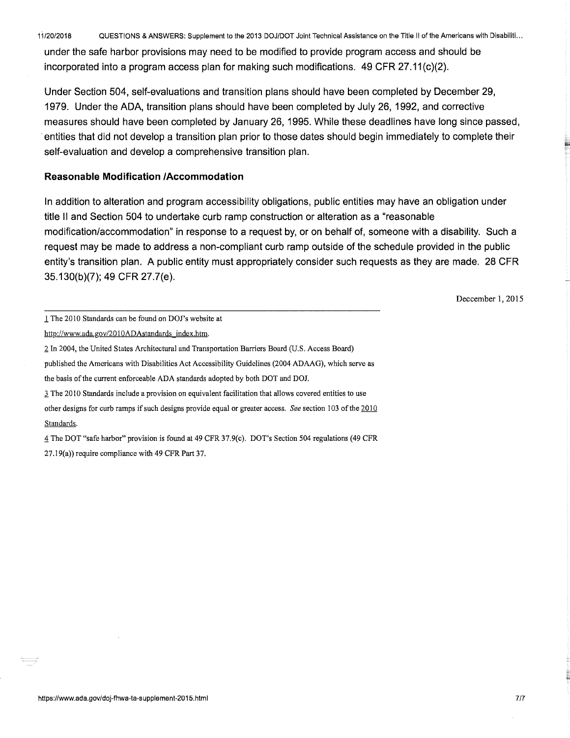11/20/2018 QUESTIONS & ANSWERS: Supplement to the 2013 DOJ/DOT Joint Technical Assistance on the Title II of the Americans with Disabiliti ...

under the safe harbor provisions may need to be modified to provide program access and should be incorporated into a program access plan for making such modifications.  $49$  CFR 27.11(c)(2).

Under Section 504, self-evaluations and transition plans should have been completed by December 29, 1979. Under the ADA, transition plans should have been completed by July 26, 1992, and corrective measures should have been completed by January 26, 1995. While these deadlines have long since passed, ·entities that did not develop a transition plan prior to those dates should begin immediately to complete their self-evaluation and develop a comprehensive transition plan.

#### **Reasonable Modification /Accommodation**

In addition to alteration and program accessibility obligations, public entities may have an obligation under title II and Section 504 to undertake curb ramp construction or alteration as a "reasonable modification/accommodation" in response to a request by, or on behalf of, someone with a disability. Such a request may be made to address a non-compliant curb ramp outside of the schedule provided in the public entity's transition plan. A public entity must appropriately consider such requests as they are made. 28 CFR 35.130(b)(7); 49 CFR 27.7(e).

Deccember 1, 2015

l The 2010 Standards can be found on DOJ's website at

http://www.ada.gov/2010ADAstandards\_index.htm.

<sup>2</sup> In 2004, the United States Architectural and Transportation Barriers Board (U.S. Access Board)

published the Americans with Disabilities Act Accessibility Guidelines (2004 ADAAG), which serve as

the basis of the current enforceable ADA standards adopted by both DOT and DOJ.

l The 20 I 0 Standards include a provision on equivalent facilitation that allows covered entities to use other designs for curb ramps if such designs provide equal or greater access. *See* section 103 of the 2010 Standards.

<sup>:!</sup> The DOT "safe harbor" provision is found at 49 CFR 37.9(c). DOT's Section 504 regulations (49 CFR 27.19(a)) require compliance with 49 CFR Part 37.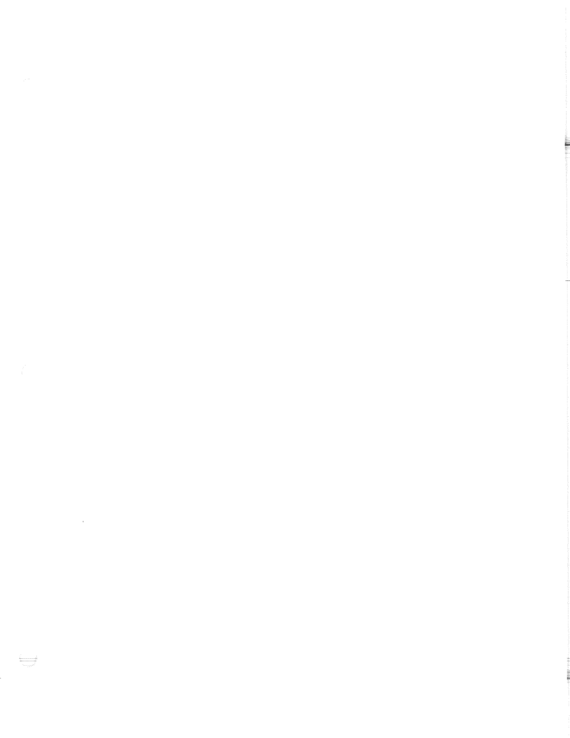**THE REAL** 

 $\mathcal{L}^{\text{max}}_{\text{max}}$  and  $\mathcal{L}^{\text{max}}_{\text{max}}$ 

 $\frac{\frac{1}{2}\left( \frac{1}{\sqrt{2}}\right) ^{2}}{\sqrt{2}\left( \frac{1}{\sqrt{2}}\right) ^{2}}\frac{\frac{1}{2}}{\sqrt{2}}$ 

j.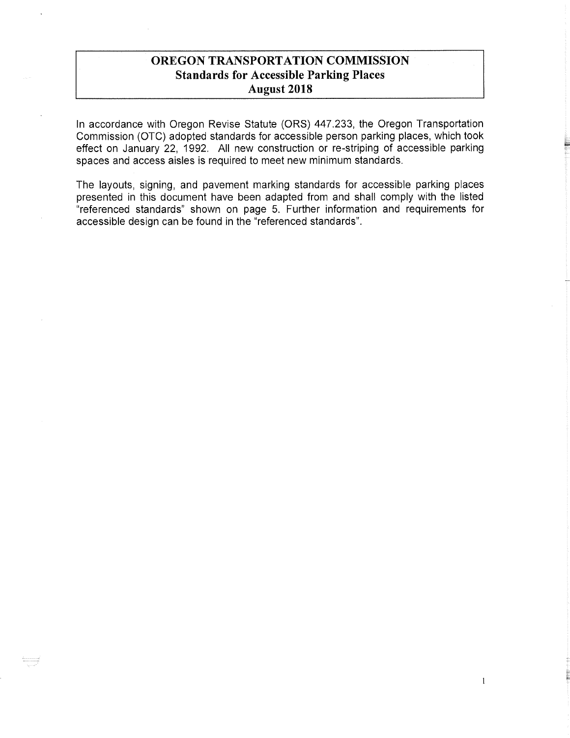In accordance with Oregon Revise Statute (ORS) 447.233, the Oregon Transportation Commission (OTC) adopted standards for accessible person parking places, which took effect on January 22, 1992. All new construction or re-striping of accessible parking spaces and access aisles is required to meet new minimum standards.

The layouts, signing, and pavement marking standards for accessible parking places presented in this document have been adapted from and shall comply with the listed "referenced standards" shown on page 5. Further information and requirements for accessible design can be found in the "referenced standards".

 $\mathbf{1}$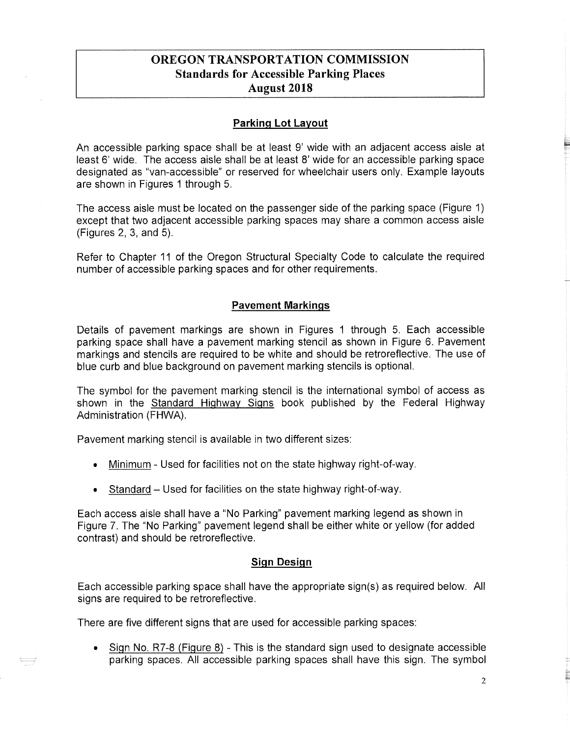#### **Parking Lot Layout**

An accessible parking space shall be at least 9' wide with an adjacent access aisle at least 6' wide. The access aisle shall be at least 8' wide for an accessible parking space designated as "van-accessible" or reserved for wheelchair users only. Example layouts are shown in Figures 1 through 5.

The access aisle must be located on the passenger side of the parking space (Figure 1) except that two adjacent accessible parking spaces may share a common access aisle (Figures 2, 3, and 5).

Refer to Chapter 11 of the Oregon Structural Specialty Code to calculate the required number of accessible parking spaces and for other requirements.

#### **Pavement Markings**

Details of pavement markings are shown in Figures 1 through 5. Each accessible parking space shall have a pavement marking stencil as shown in Figure 6. Pavement markings and stencils are required to be white and should be retroreflective. The use of blue curb and blue background on pavement marking stencils is optional.

The symbol for the pavement marking stencil is the international symbol of access as shown in the Standard Highway Signs book published by the Federal Highway Administration (FHWA).

Pavement marking stencil is available in two different sizes:

- Minimum Used for facilities not on the state highway right-of-way.
- Standard Used for facilities on the state highway right-of-way.

Each access aisle shall have a "No Parking" pavement marking legend as shown in Figure 7. The "No Parking" pavement legend shall be either white or yellow (for added contrast) and should be retroreflective.

#### **Sign Design**

Each accessible parking space shall have the appropriate sign(s) as required below. All signs are required to be retroreflective.

There are five different signs that are used for accessible parking spaces:

• Sign No. R7-8 (Figure 8) - This is the standard sign used to designate accessible parking spaces. All accessible parking spaces shall have this sign. The symbol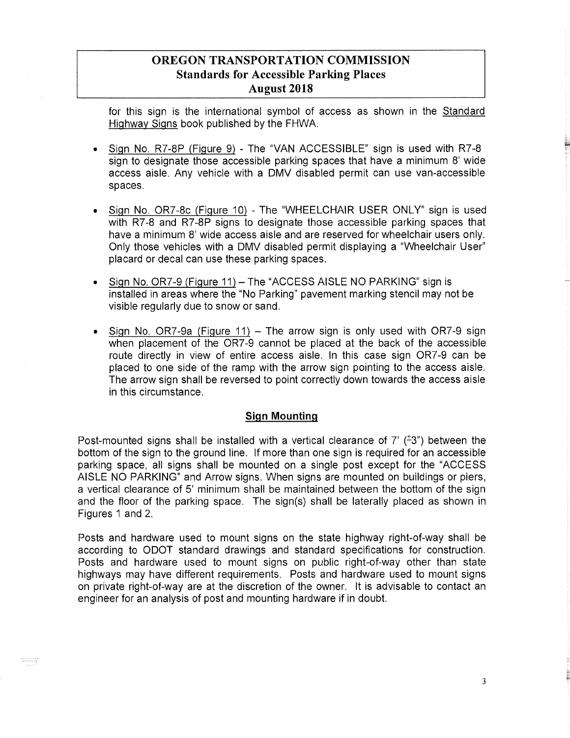for this sign is the international symbol of access as shown in the Standard Highway Signs book published by the FHWA.

- Sign No. R7-8P (Figure 9) The "VAN ACCESSIBLE" sign is used with R?-8 sign to designate those accessible parking spaces that have a minimum 8' wide access aisle. Any vehicle with a OMV disabled permit can use van-accessible spaces.
- Sign No. OR7-8c (Figure 10) The "WHEELCHAIR USER ONLY" sign is used with R7-8 and R7-8P signs to designate those accessible parking spaces that have a minimum 8' wide access aisle and are reserved for wheelchair users only. Only those vehicles with a OMV disabled permit displaying a "Wheelchair User" placard or decal can use these parking spaces.
- Sign No. OR7-9 (Figure 11) The "ACCESS AISLE NO PARKING" sign is installed in areas where the "No Parking" pavement marking stencil may not be visible regularly due to snow or sand.
- Sign No. OR7-9a (Figure 11) The arrow sign is only used with OR7-9 sign when placement of the OR?-9 cannot be placed at the back of the accessible route directly in view of entire access aisle. In this case sign OR?-9 can be placed to one side of the ramp with the arrow sign pointing to the access aisle. The arrow sign shall be reversed to point correctly down towards the access aisle in this circumstance.

#### **Sign Mounting**

Post-mounted signs shall be installed with a vertical clearance of 7' ( $\pm$ 3") between the bottom of the sign to the ground line. If more than one sign is required for an accessible parking space, all signs shall be mounted on a single post except for the "ACCESS AISLE NO PARKING" and Arrow signs. When signs are mounted on buildings or piers, a vertical clearance of 5' minimum shall be maintained between the bottom of the sign and the floor of the parking space. The sign(s) shall be laterally placed as shown in Figures 1 and 2.

Posts and hardware used to mount signs on the state highway right-of-way shall be according to OOOT standard drawings and standard specifications for construction. Posts and hardware used to mount signs on public right-of-way other than state highways may have different requirements. Posts and hardware used to mount signs on private right-of-way are at the discretion of the owner. It is advisable to contact an engineer for an analysis of post and mounting hardware if in doubt.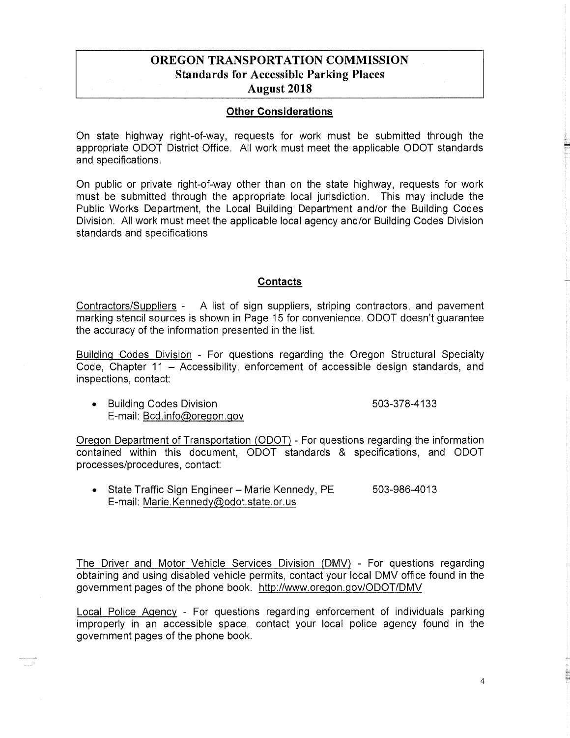#### **Other Considerations**

On state highway right-of-way, requests for work must be submitted through the appropriate ODOT District Office. All work must meet the applicable ODOT standards and specifications.

On public or private right-of-way other than on the state highway, requests for work must be submitted through the appropriate local jurisdiction. This may include the Public Works Department, the Local Building Department and/or the Building Codes Division. All work must meet the applicable local agency and/or Building Codes Division standards and specifications

#### **Contacts**

Contractors/Suppliers - A list of sign suppliers, striping contractors, and pavement marking stencil sources is shown in Page 15 for convenience. ODOT doesn't guarantee the accuracy of the information presented in the list.

Building Codes Division - For questions regarding the Oregon Structural Specialty Code, Chapter 11  $-$  Accessibility, enforcement of accessible design standards, and inspections, contact:

• Building Codes Division E-mail: Bcd.info@oregon.gov 503-378-4133

Oregon Department of Transportation (ODOT) - For questions regarding the information contained within this document, ODOT standards & specifications, and ODOT processes/procedures, contact:

• State Traffic Sign Engineer - Marie Kennedy, PE E-mail: Marie.Kennedy@odot.state.or.us 503-986-4013

The Driver and Motor Vehicle Services Division (OMV) - For questions regarding obtaining and using disabled vehicle permits, contact your local OMV office found in the government pages of the phone book. http://www.oregon.gov/ODOT/DMV

Local Police Agency - For questions regarding enforcement of individuals parking improperly in an accessible space, contact your local police agency found in the government pages of the phone book.

4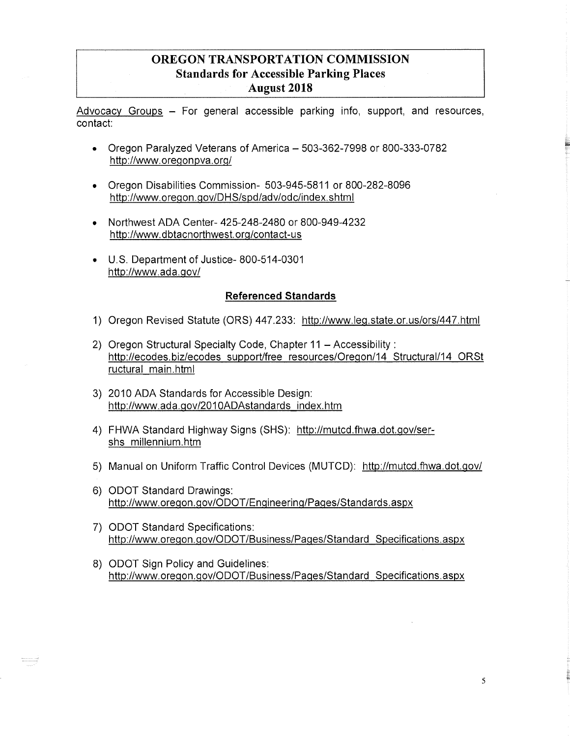Advocacy Groups - For general accessible parking info, support, and resources, contact:

- Oregon Paralyzed Veterans of America  $-503-362-7998$  or 800-333-0782 http://www.oregonpva.org/
- Oregon Disabilities Commission- 503-945-5811 or 800-282-8096 http://www.oregon.gov/DHS/spd/adv/odc/index.shtml
- Northwest ADA Center- 425-248-2480 or 800-949-4232 http://www.dbtacnorthwest.org/contact-us
- U.S. Department of Justice- 800-514-0301 http://www.ada.gov/

#### **Referenced Standards**

- 1) Oregon Revised Statute (ORS) 447.233: http://www.leg.state.or.us/ors/447.html
- 2) Oregon Structural Specialty Code, Chapter 11 Accessibility : http://ecodes.biz/ecodes support/free resources/Oregon/14 Structural/14 ORSt ructural main.html
- 3) 2010 ADA Standards for Accessible Design: http://www.ada.gov/2010ADAstandards index.htm
- 4) FHWA Standard Highway Signs (SHS): http://mutcd.fhwa.dot.gov/sershs millennium.htm
- 5) Manual on Uniform Traffic Control Devices (MUTCD): http://mutcd.fhwa.dot.gov/
- 6) ODOT Standard Drawings: http://www.oregon.gov/ODOT/Engineering/Pages/Standards.aspx
- 7) ODOT Standard Specifications: http://www.oregon.gov/ODOT/Business/Pages/Standard Specifications.aspx
- 8) ODOT Sign Policy and Guidelines: http://www.oregon.gov/ODOT/Business/Pages/Standard Specifications.aspx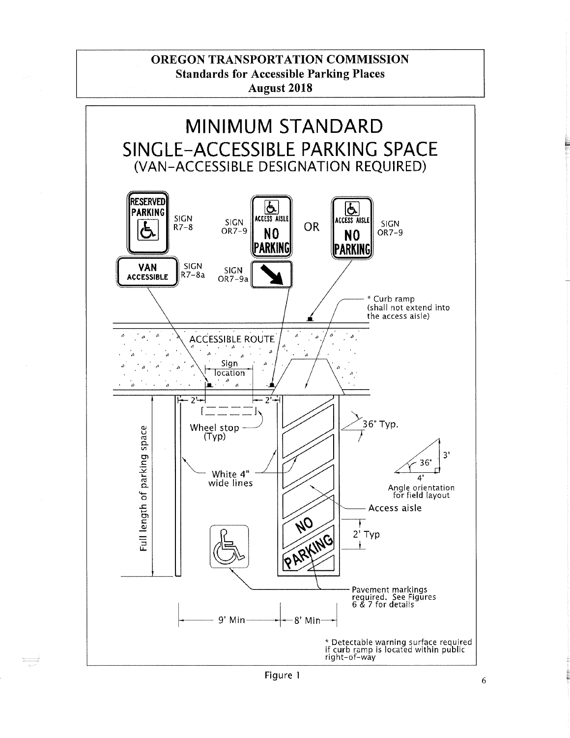

Figure 1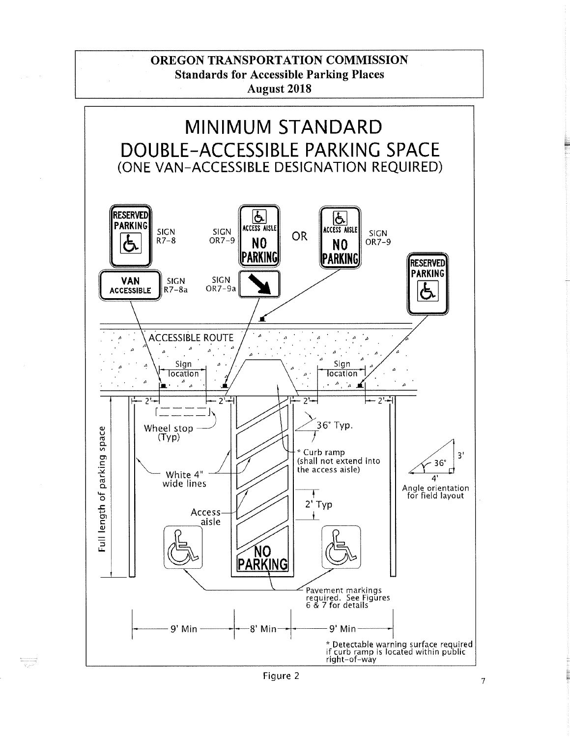

Figure 2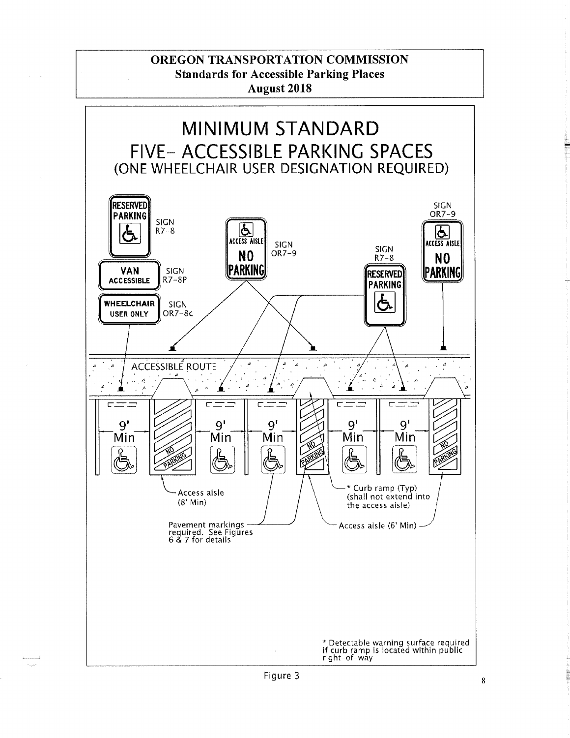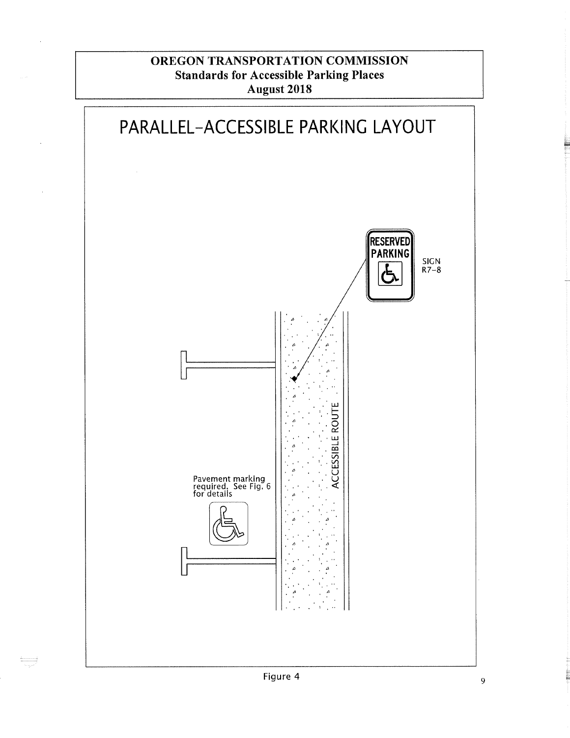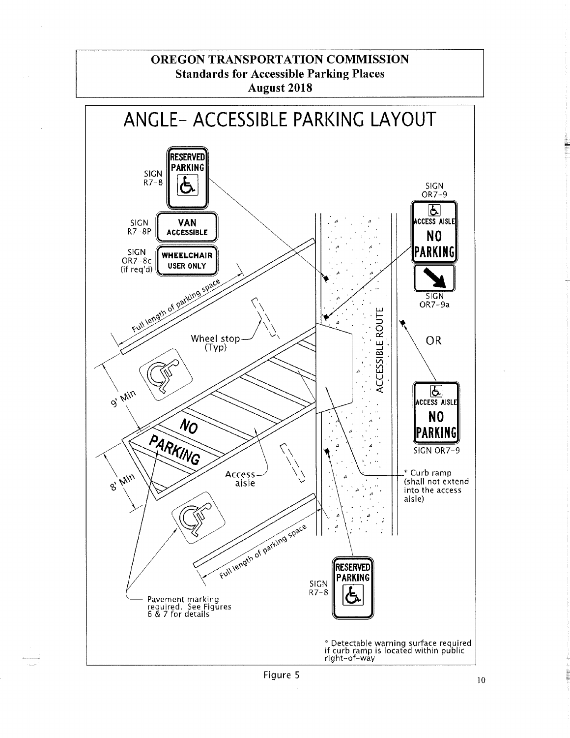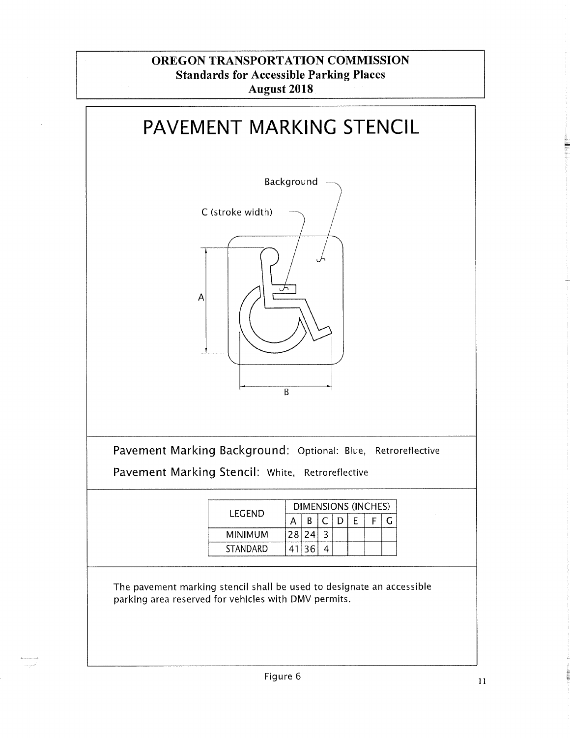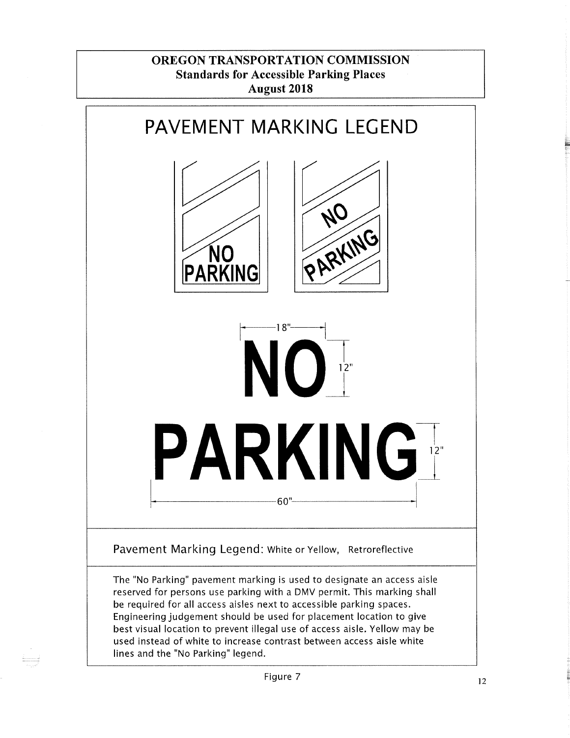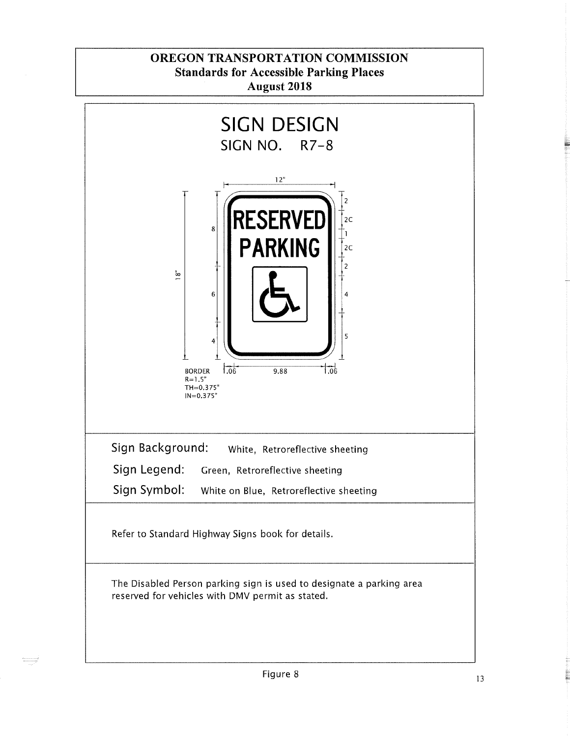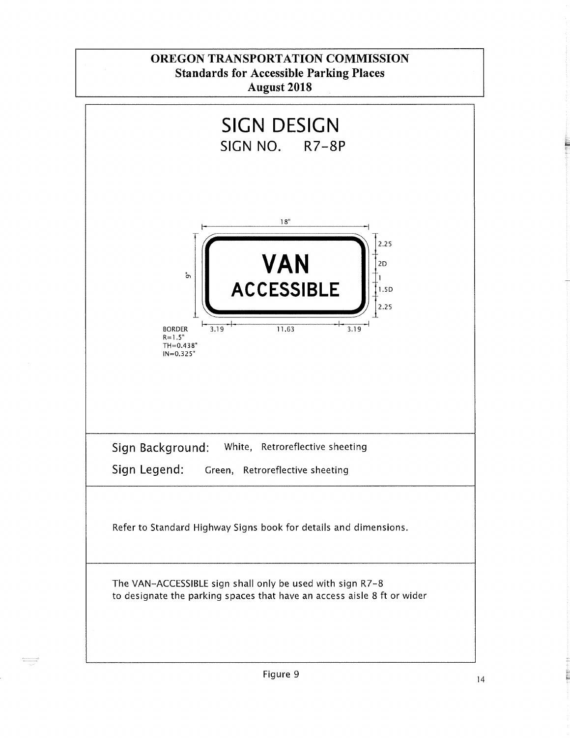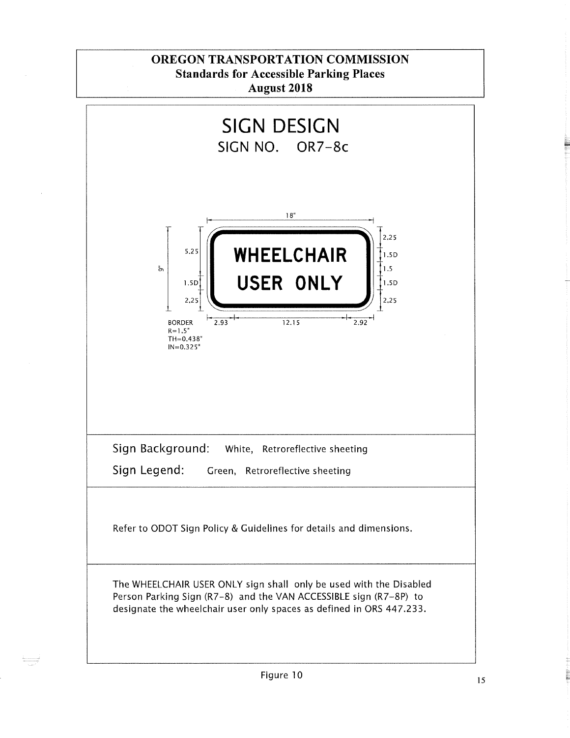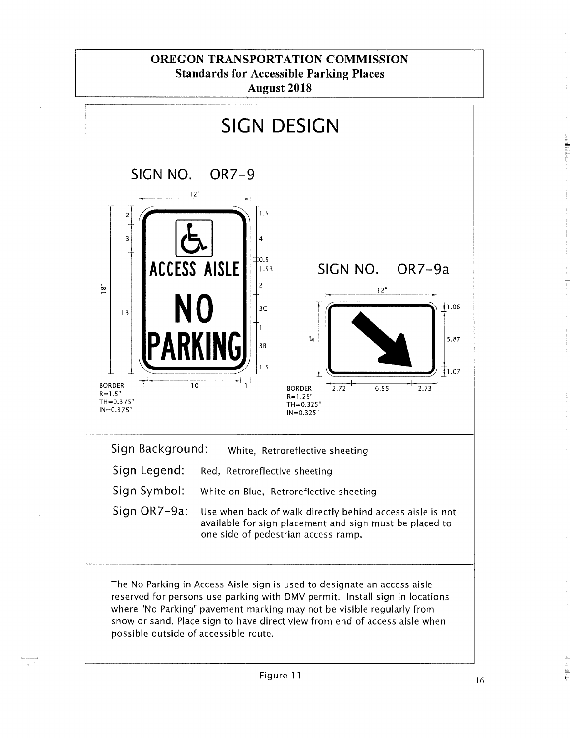![](_page_29_Figure_0.jpeg)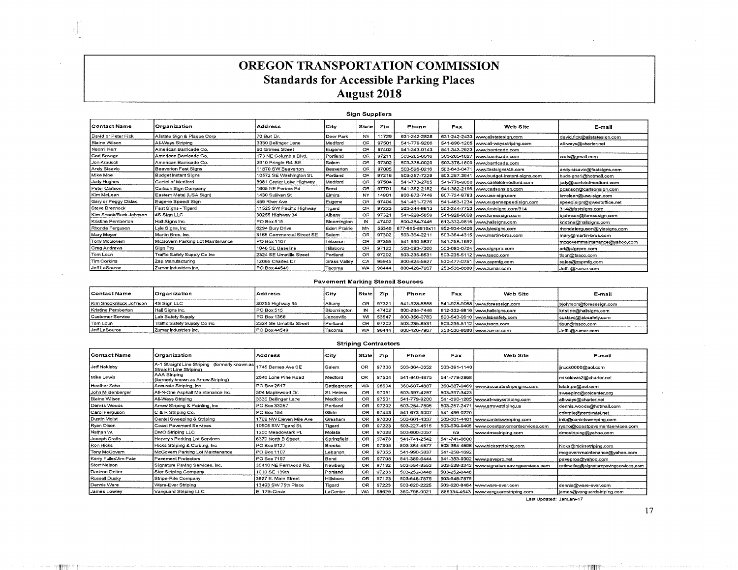#### Sign Suppliers

| Contact Name           | Organization                     | <b>Address</b>            | City                | State     | Zip      | Phone          | Fax          | <b>Web Site</b>                           | E-mail                        |
|------------------------|----------------------------------|---------------------------|---------------------|-----------|----------|----------------|--------------|-------------------------------------------|-------------------------------|
| David or Peter Fick    | Alistate Sign & Plaque Corp      | 70 Burt Dr.               | Deer Park           | NY.       | 11729    | 631-242-2828   |              | 631-242-2433 www.allstatesign.com         | david.fick@allstatesign.com   |
| <b>Blaine Wilson</b>   | All-Ways Striping                | 3330 Bellinger Lane       | Medford             | OR.       | $9750 -$ | 541-779-9200   |              | 541-690-1205 [www.all-waysstriping.com    | all-ways@charter.net          |
| Naomi Kerr             | American Barricade Co.           | 60 Grimes Street          | Eugene              | OR        | 97402    | 541-343-0143   |              | 541-343-2923 www.barricade.com            |                               |
| Carl Savage            | American Bamcade Co.             | 173 NE Columbia Blvd.     | Portland            | OR.       | 9721'    | 503-285-6616   |              | 503-285-1827 www.barricade.com            | carls@gmail.com               |
| Jon Krausch            | American Barricade Co.           | 2910 Pringle Rd, SE       | Salem               | OR        | 97302    | 503-378-0020   |              | 503-378-1809 www.barricade.com            |                               |
| Andy Sisavic           | Beaverton Fast Signs             | 11870 SW Beaverton        | Beaverton           | OR.       | 97005    | 503-526-0216   |              | 503-643-0471   www.fastsigns/46.com       | andy sisavic@fastsigns.com    |
| Mike Moe               | <b>Budget Instant Signs</b>      | 10572 SE Washington St.   | Portland            | OR.       | 97216    | 503-257-7229   |              | 503-257-3941 www.budget-instant-signs.com | budsigns1@hotmail.com         |
| Judy Hughes            | Cantel of Medford                | 3981 Crater Lake Highway  | Medford             | OR.       | 97504    | 541-773-2765   |              | 541-776-9060 www.cantelofmedford.com      | judy@cantelofmedford.com      |
| Peter Carlson          | Carlson Sign Company             | 1605 NE Forbes Rd         | Bend                | OR.       | 97701    | 541-382-2182   |              | 541-382-2196   www.carlsonsign.com        | pcarison@carisonsign.com      |
| Kim McLean             | Eastern Metal (USA Sign)         | 1430 Sullivan St          | Elmira              | NY.       | 1490     | 800-872-7446   |              | 607-734-8783   www.usa-sign.com           | kmclean@usa-sign.com          |
| Gary or Peggy Olstad   | Eugene Speedi Sign               | 459 River Ave             | Eugene              | OR.       | 97404    | 541-461-7276   |              | 541-463-1234   www.eugenespeedisign.com   | speedisign@qwestoffice.net    |
| Steve Brennock         | Fast Signs - Tigard              | 11525 SW Pacific Highway  | Tigard              | OR.       | 97223    | 503-244-8813   |              | 503-244-7753   www.fastsigns.com/314      | 314@fastsigns.com             |
| Kim Snook/Buck Johnson | 4S Sign LLC                      | 30255 Highway 34          | Albany              | OR.       | 97321    | 541-928-5858   |              | 541-928-9068 [www.foresssign.com          | bjohnson@foresssign.com       |
| Kristine Pemberton     | Hall Signs Inc.                  | PO Box 515                | Bloomington         | IN.       | 47402    | 800-284-7446   |              | 812-332-9816   www.hallsigns.com          | kristine@hallsigns.com        |
| I Rhonda Ferguson      | Lyle Signs, Inc                  | 6294 Bury Drive           | Eden Prairie        | <b>MN</b> | 55346    | 877-895-8816x1 |              | 952-934-0406 www.tylesigns.com            | rhondaferguson@lylesigns.com  |
| Mary Meyer             | Martin Bros, Inc.                | 3165 Commercial Street SE | Salem               | <b>OR</b> | 97302    | 503-364-2211   |              | 503-364-4315   www.martin-bros.com        | mary@martin-bros.com          |
| Tony McGovern          | McGovern Parking Lot Maintenance | PO Box 1107               | Lebanon             | <b>OR</b> | 97355    | 541-990-5837   | 541-258-1692 |                                           | mcgovernmaintenance@yahoo.com |
| Greg Andrews           | Sign Pro                         | 1048 SE Baseline          | Hillsboro           | <b>OR</b> | 97123    | 503-693-7300   |              | 503-693-6724 www.signpro.com              | art@signpro.com               |
| Tom Loun               | Traffic Safety Supply Co Inc     | 2324 SE Umatilla Street   | Portland            | OR.       | 97202    | 503-235-8531   |              | 503-235-5112 www.tssco.com                | tioun@tssco.com               |
| Tim Corkins            | Zao Manufacturing                | 12086 Charles Dr          | <b>Grass Valley</b> | CA        | 95945    | 800-824-5927   |              | 530-477-0751 www.zapmfg.com               | sales@zapmfg.com              |
| Jeff LaSource          | Zumar Industries Inc.            | PO Box 44549              | Tacoma              | WA-       | 98444    | 800-426-7967   |              | 253-536-8680 www.zumar.com                | JeffL@zumar.com               |

#### Pavement Marking Stencil Sources

| iContact Name          | <b>Organization</b>          | <b>Address</b>          | City              | <b>State</b> | <b>Zio</b> | Phone        | Fax | Web Site                          | E-mail                  |
|------------------------|------------------------------|-------------------------|-------------------|--------------|------------|--------------|-----|-----------------------------------|-------------------------|
| Kim Snook/Buck Johnson | 14S Sian LLC                 | 30255 Highway 34        | l Albanv          | OR           | 97321      | 541-928-5858 |     | 541-928-9068 www.foresssign.com   | bjohnson@foresssign.com |
| Kristine Pemberton     | Hall Signs Inc.              | PO Box 515              | Bloomington       |              | 47402 I    | 800-284-7446 |     | [812-332-9816   www.hallsigns.com | kristine@hallsigns.com  |
| Customer Service       | Lab Safety Supply            | PO Box 1368             | <b>Janesville</b> | w            | 53547      | 800-356-0783 |     | 800-543-9910 www.labsafety.com    | custsvc@labsafety.com   |
| Tom Loun               | Traffic Safety Supply Co Inc | 2324 SE Umatilla Street | Portland          | OR           | 97202      | 503-235-8531 |     | 503-235-5112 www.tssco.com        | tioun@tssco.com         |
| <b>Jeff LaSource</b>   | Zumar Industries Inc.        | PO Box 44549            | l Tacoma          | <b>WA</b>    | 98444      | 800-426-7967 |     | 1253-536-8680 www.zumar.com       | JeffL@zumar.com         |

| Contact Name          | Organization                                                             | <b>Address</b>          | City          | <b>State</b> | Zip   | Phone        | Fax          | <b>Web Site</b>                              | E-mail                                 |
|-----------------------|--------------------------------------------------------------------------|-------------------------|---------------|--------------|-------|--------------|--------------|----------------------------------------------|----------------------------------------|
| Jeff Nokleby          | A-1 Straight Line Striping (formerly known as<br>Straight Line Striping) | 1745 Bames Ave SE       | Salem         | OR           | 97306 | 503-364-0652 | 503-391-1140 |                                              | jnuck0000@aol.com                      |
| Mike Lewis            | AAA Striping<br>(formerly known as Arrow Striping)                       | 2646 Lone Pine Road     | Medford       | OR           | 97504 | 541-840-4875 | 541-779-2868 |                                              | mikelewis2@charter.net                 |
| Heather Zaha          | Accurate Striping, Inc.                                                  | PO Box 2617             | Battleground  | <b>WA</b>    | 98604 | 360-687-4887 |              | 360-687-9469 www.accuratestripinginc.com     | lotstripe@aol.com                      |
| John Mildenberger     | All-N-One Asphalt Maintenance Inc.                                       | 504 Maplewood Dr.       | St. Helens    | OR.          | 97051 | 503-397-4257 | 503-397-3423 |                                              | sweepinc@colcenter.org                 |
| <b>Blaine Wilson</b>  | All-Ways Striping                                                        | 3330 Bellinger Lane     | Medford       | OR.          | 97501 | 541-779-9200 |              | 541-690-1205 www.all-waysstriping.com        | all-ways@charter.net                   |
| Dennis Woods          | Arrow Striping & Painting, Inc.                                          | PO Box 33257            | Portland      | OR           | 97292 | 503-254-7895 |              | 503-257-2471 www.arrowstriping.us            | dennis.woods@hotmail.com               |
| Carol Ferguson        | C & R Striping Co.                                                       | PO Box 154              | Glide         | OR.          | 97443 | 541-673-5007 | 541-496-0220 |                                              | crfergie@centurytel.net                |
| Dustin Moist          | Cantel Sweeping & Striping                                               | 1709 NW Eleven Mile Ave | Gresham       | <b>OR</b>    | 97030 | 503-661-4337 |              | 503-661-4401 [www.cantelsweeping.com         | info@cantelsweeping.com                |
| Ryan Olson            | <b>Coast Pavement Services</b>                                           | 10505 SW Tigard St.     | Tigard        | OR.          | 97223 | 503-227-4515 |              | 503-639-9405   www.coastpavementservices.com | ryano@coastpavementservices.com        |
| Nathan W.             | DMO Striping LLC                                                         | 1200 Meadowlark PI.     | Molalla       | OR.          | 97038 | 503-600-0057 | n/a          | www.dmostriping.com                          | dmostriping@yahoo.com                  |
| Joseph Crafts         | Harvey's Parking Lot Services                                            | 6370 North B Street     | Springfield   | OR           | 97478 | 541-741-2542 | 541-741-0600 |                                              |                                        |
| Ron Hicks             | Hicks Striping & Curbing, Inc.                                           | PO Box 9127             | <b>Brooks</b> | OR.          | 97305 | 503-364-4577 |              | 503-364-4596 www.hicksstriping.com           | hicks@hicksstriping.com                |
| Tony McGovern         | McGovern Parking Lot Maintenance                                         | PO Box 1107             | Lebanon       | OR.          | 97355 | 541-990-5837 | 541-258-1692 |                                              | mcgovernmaintenance@yahoo.com          |
| Kerry Fuller/Jim Pate | Pavement Protectors                                                      | PO Box 7197             | Bend          | OR           | 97708 | 541-389-6444 |              | 541-383-9302 www.pavepro.net                 | pavepros@yahoo.com                     |
| Storr Nelson          | Signature Paving Services, Inc.                                          | 30410 NE Fernwood Rd.   | Newberg       | OR           | 97132 | 503-554-8553 |              | 503-538-3243 www.signaturepavingservices.com | estimating@signaturepavingservices.com |
| Dariene Deiter        | <b>Star Striping Company</b>                                             | 1010 SE 139th           | Portland      | OR.          | 97233 | 503-252-0448 | 503-252-0448 |                                              |                                        |
| Russell Dusky         | Stripe-Rite Company                                                      | 3827 E. Main Street     | Hillsboro     | OR.          | 97123 | 503-648-7875 | 503-648-7875 |                                              |                                        |
| Dennis Ware           | Ware-Ever Striping                                                       | 13493 SW 75th Place     | Tigard        | <b>OR</b>    | 97223 | 503-620-2225 |              | 503-620-8464 www.ware-ever.com               | dennis@ware-ever.com                   |
| James Lowrey          | Vanguard Striping LLC                                                    | E. 17th Circle          | LaCenter      | <b>WA</b>    | 98629 | 360-798-9021 |              | 886334-4543 www.vanguardstriping.com         | james@vanguardstriping.com             |

 $\mathbb{H}$  in

 $\frac{1}{2}$ 

Striping Contractors

Last Updated: January-17

''Hfl'

17